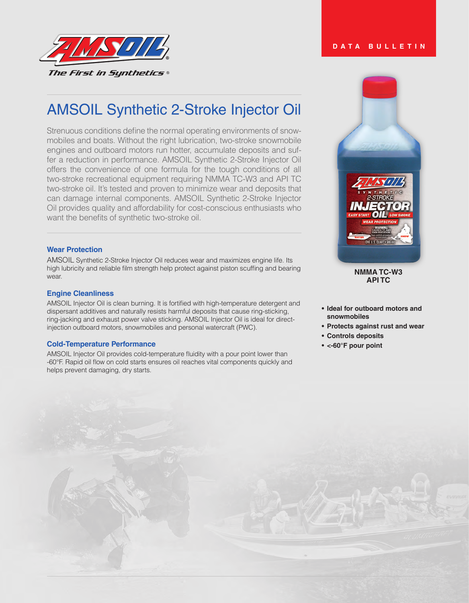

# AMSOIL Synthetic 2-Stroke Injector Oil

Strenuous conditions define the normal operating environments of snowmobiles and boats. Without the right lubrication, two-stroke snowmobile engines and outboard motors run hotter, accumulate deposits and suffer a reduction in performance. AMSOIL Synthetic 2-Stroke Injector Oil offers the convenience of one formula for the tough conditions of all two-stroke recreational equipment requiring NMMA TC-W3 and API TC two-stroke oil. It's tested and proven to minimize wear and deposits that can damage internal components. AMSOIL Synthetic 2-Stroke Injector Oil provides quality and affordability for cost-conscious enthusiasts who want the benefits of synthetic two-stroke oil.

# **Wear Protection**

AMSOIL Synthetic 2-Stroke Injector Oil reduces wear and maximizes engine life. Its high lubricity and reliable film strength help protect against piston scuffing and bearing wear.

## **Engine Cleanliness**

AMSOIL Injector Oil is clean burning. It is fortified with high-temperature detergent and dispersant additives and naturally resists harmful deposits that cause ring-sticking, ring-jacking and exhaust power valve sticking. AMSOIL Injector Oil is ideal for directinjection outboard motors, snowmobiles and personal watercraft (PWC).

## **Cold-Temperature Performance**

AMSOIL Injector Oil provides cold-temperature fluidity with a pour point lower than -60°F. Rapid oil flow on cold starts ensures oil reaches vital components quickly and helps prevent damaging, dry starts.



#### **NMMA TC-W3 API TC**

- **• Ideal for outboard motors and snowmobiles**
- **• Protects against rust and wear**
- **• Controls deposits**
- **• <-60°F pour point**

# **DATA BULLETIN**